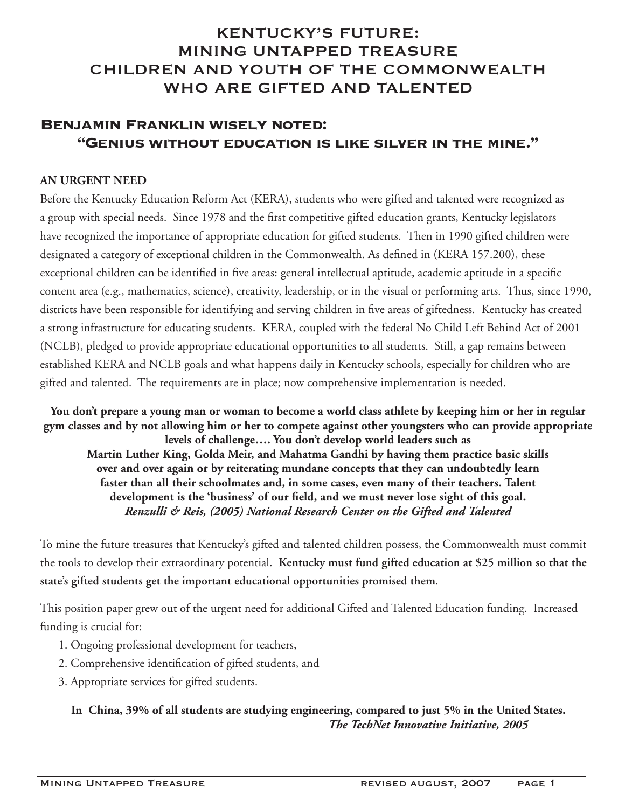# KENTUCKY'S FUTURE: MINING UNTAPPED TREASURE CHILDREN AND YOUTH OF THE COMMONWEALTH WHO ARE GIFTED AND TALENTED

# **Benjamin Franklin wisely noted: "Genius without education is like silver in the mine."**

#### **An Urgent Need**

Before the Kentucky Education Reform Act (KERA), students who were gifted and talented were recognized as a group with special needs. Since 1978 and the first competitive gifted education grants, Kentucky legislators have recognized the importance of appropriate education for gifted students. Then in 1990 gifted children were designated a category of exceptional children in the Commonwealth. As defined in (KERA 157.200), these exceptional children can be identified in five areas: general intellectual aptitude, academic aptitude in a specific content area (e.g., mathematics, science), creativity, leadership, or in the visual or performing arts. Thus, since 1990, districts have been responsible for identifying and serving children in five areas of giftedness. Kentucky has created a strong infrastructure for educating students. KERA, coupled with the federal No Child Left Behind Act of 2001 (NCLB), pledged to provide appropriate educational opportunities to all students. Still, a gap remains between established KERA and NCLB goals and what happens daily in Kentucky schools, especially for children who are gifted and talented. The requirements are in place; now comprehensive implementation is needed.

**You don't prepare a young man or woman to become a world class athlete by keeping him or her in regular gym classes and by not allowing him or her to compete against other youngsters who can provide appropriate levels of challenge…. You don't develop world leaders such as Martin Luther King, Golda Meir, and Mahatma Gandhi by having them practice basic skills over and over again or by reiterating mundane concepts that they can undoubtedly learn faster than all their schoolmates and, in some cases, even many of their teachers. Talent development is the 'business' of our field, and we must never lose sight of this goal.**  *Renzulli & Reis, (2005) National Research Center on the Gifted and Talented*

To mine the future treasures that Kentucky's gifted and talented children possess, the Commonwealth must commit the tools to develop their extraordinary potential. **Kentucky must fund gifted education at \$25 million so that the state's gifted students get the important educational opportunities promised them**.

This position paper grew out of the urgent need for additional Gifted and Talented Education funding. Increased funding is crucial for:

- 1. Ongoing professional development for teachers,
- 2. Comprehensive identification of gifted students, and
- 3. Appropriate services for gifted students.

**In China, 39% of all students are studying engineering, compared to just 5% in the United States.** *The TechNet Innovative Initiative, 2005*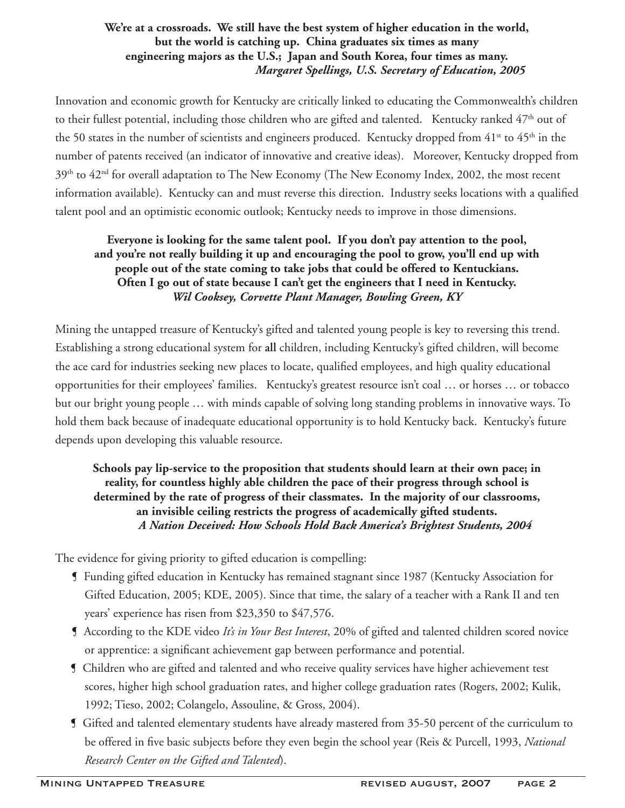#### **We're at a crossroads. We still have the best system of higher education in the world, but the world is catching up. China graduates six times as many engineering majors as the U.S.; Japan and South Korea, four times as many.** *Margaret Spellings, U.S. Secretary of Education, 2005*

Innovation and economic growth for Kentucky are critically linked to educating the Commonwealth's children to their fullest potential, including those children who are gifted and talented. Kentucky ranked 47<sup>th</sup> out of the 50 states in the number of scientists and engineers produced. Kentucky dropped from  $41<sup>st</sup>$  to  $45<sup>th</sup>$  in the number of patents received (an indicator of innovative and creative ideas). Moreover, Kentucky dropped from 39<sup>th</sup> to 42<sup>nd</sup> for overall adaptation to The New Economy (The New Economy Index, 2002, the most recent information available). Kentucky can and must reverse this direction. Industry seeks locations with a qualified talent pool and an optimistic economic outlook; Kentucky needs to improve in those dimensions.

### **Everyone is looking for the same talent pool. If you don't pay attention to the pool, and you're not really building it up and encouraging the pool to grow, you'll end up with people out of the state coming to take jobs that could be offered to Kentuckians. Often I go out of state because I can't get the engineers that I need in Kentucky.** *Wil Cooksey, Corvette Plant Manager, Bowling Green, KY*

Mining the untapped treasure of Kentucky's gifted and talented young people is key to reversing this trend. Establishing a strong educational system for **all** children, including Kentucky's gifted children, will become the ace card for industries seeking new places to locate, qualified employees, and high quality educational opportunities for their employees' families. Kentucky's greatest resource isn't coal … or horses … or tobacco but our bright young people … with minds capable of solving long standing problems in innovative ways. To hold them back because of inadequate educational opportunity is to hold Kentucky back. Kentucky's future depends upon developing this valuable resource.

### **Schools pay lip-service to the proposition that students should learn at their own pace; in reality, for countless highly able children the pace of their progress through school is determined by the rate of progress of their classmates. In the majority of our classrooms, an invisible ceiling restricts the progress of academically gifted students.**  *A Nation Deceived: How Schools Hold Back America's Brightest Students, 2004*

The evidence for giving priority to gifted education is compelling:

- ¶ Funding gifted education in Kentucky has remained stagnant since 1987 (Kentucky Association for Gifted Education, 2005; KDE, 2005). Since that time, the salary of a teacher with a Rank II and ten years' experience has risen from \$23,350 to \$47,576.
- ¶ According to the KDE video *It's in Your Best Interest*, 20% of gifted and talented children scored novice or apprentice: a significant achievement gap between performance and potential.
- ¶ Children who are gifted and talented and who receive quality services have higher achievement test scores, higher high school graduation rates, and higher college graduation rates (Rogers, 2002; Kulik, 1992; Tieso, 2002; Colangelo, Assouline, & Gross, 2004).
- ¶ Gifted and talented elementary students have already mastered from 35-50 percent of the curriculum to be offered in five basic subjects before they even begin the school year (Reis & Purcell, 1993, *National Research Center on the Gifted and Talented*).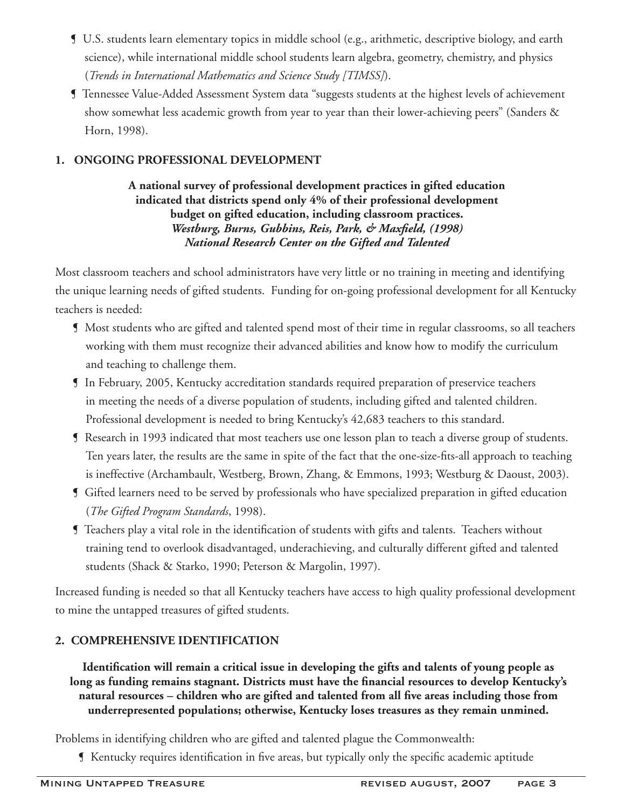- ¶ U.S. students learn elementary topics in middle school (e.g., arithmetic, descriptive biology, and earth science), while international middle school students learn algebra, geometry, chemistry, and physics (*Trends in International Mathematics and Science Study [TIMSS]*).
- ¶ Tennessee Value-Added Assessment System data "suggests students at the highest levels of achievement show somewhat less academic growth from year to year than their lower-achieving peers" (Sanders & Horn, 1998).

# **1. Ongoing Professional Development**

**A national survey of professional development practices in gifted education indicated that districts spend only 4% of their professional development budget on gifted education, including classroom practices.** *Westburg, Burns, Gubbins, Reis, Park, & Maxfield, (1998) National Research Center on the Gifted and Talented* 

Most classroom teachers and school administrators have very little or no training in meeting and identifying the unique learning needs of gifted students. Funding for on-going professional development for all Kentucky teachers is needed:

- ¶ Most students who are gifted and talented spend most of their time in regular classrooms, so all teachers working with them must recognize their advanced abilities and know how to modify the curriculum and teaching to challenge them.
- ¶ In February, 2005, Kentucky accreditation standards required preparation of preservice teachers in meeting the needs of a diverse population of students, including gifted and talented children. Professional development is needed to bring Kentucky's 42,683 teachers to this standard.
- ¶ Research in 1993 indicated that most teachers use one lesson plan to teach a diverse group of students. Ten years later, the results are the same in spite of the fact that the one-size-fits-all approach to teaching is ineffective (Archambault, Westberg, Brown, Zhang, & Emmons, 1993; Westburg & Daoust, 2003).
- ¶ Gifted learners need to be served by professionals who have specialized preparation in gifted education (*The Gifted Program Standards*, 1998).
- ¶ Teachers play a vital role in the identification of students with gifts and talents. Teachers without training tend to overlook disadvantaged, underachieving, and culturally different gifted and talented students (Shack & Starko, 1990; Peterson & Margolin, 1997).

Increased funding is needed so that all Kentucky teachers have access to high quality professional development to mine the untapped treasures of gifted students.

# **2. Comprehensive Identification**

**Identification will remain a critical issue in developing the gifts and talents of young people as long as funding remains stagnant. Districts must have the financial resources to develop Kentucky's natural resources – children who are gifted and talented from all five areas including those from underrepresented populations; otherwise, Kentucky loses treasures as they remain unmined.**

Problems in identifying children who are gifted and talented plague the Commonwealth:

¶ Kentucky requires identification in five areas, but typically only the specific academic aptitude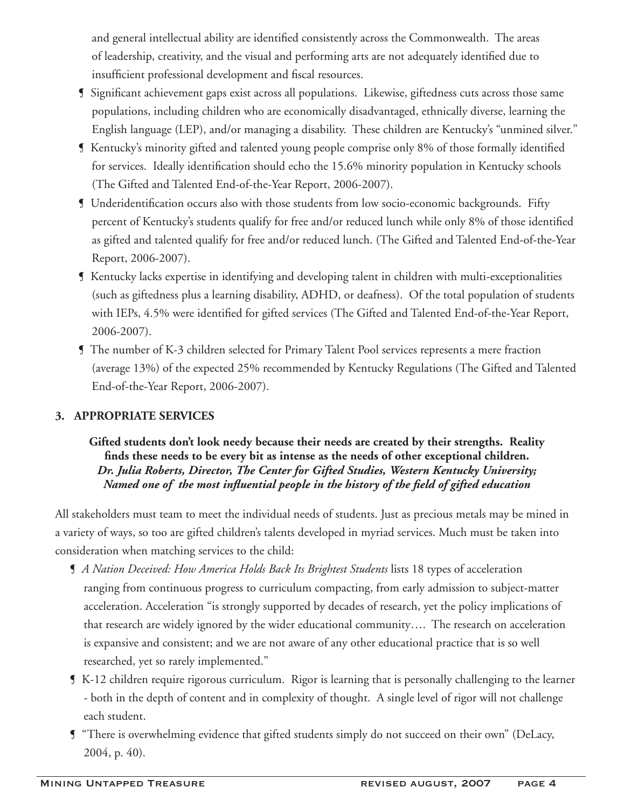and general intellectual ability are identified consistently across the Commonwealth. The areas of leadership, creativity, and the visual and performing arts are not adequately identified due to insufficient professional development and fiscal resources.

- ¶ Significant achievement gaps exist across all populations. Likewise, giftedness cuts across those same populations, including children who are economically disadvantaged, ethnically diverse, learning the English language (LEP), and/or managing a disability. These children are Kentucky's "unmined silver."
- ¶ Kentucky's minority gifted and talented young people comprise only 8% of those formally identified for services. Ideally identification should echo the 15.6% minority population in Kentucky schools (The Gifted and Talented End-of-the-Year Report, 2006-2007).
- ¶ Underidentification occurs also with those students from low socio-economic backgrounds. Fifty percent of Kentucky's students qualify for free and/or reduced lunch while only 8% of those identified as gifted and talented qualify for free and/or reduced lunch. (The Gifted and Talented End-of-the-Year Report, 2006-2007).
- ¶ Kentucky lacks expertise in identifying and developing talent in children with multi-exceptionalities (such as giftedness plus a learning disability, ADHD, or deafness). Of the total population of students with IEPs, 4.5% were identified for gifted services (The Gifted and Talented End-of-the-Year Report, 2006-2007).
- ¶ The number of K-3 children selected for Primary Talent Pool services represents a mere fraction (average 13%) of the expected 25% recommended by Kentucky Regulations (The Gifted and Talented End-of-the-Year Report, 2006-2007).

## **3. Appropriate Services**

### **Gifted students don't look needy because their needs are created by their strengths. Reality finds these needs to be every bit as intense as the needs of other exceptional children.**  *Dr. Julia Roberts, Director, The Center for Gifted Studies, Western Kentucky University; Named one of the most influential people in the history of the field of gifted education*

All stakeholders must team to meet the individual needs of students. Just as precious metals may be mined in a variety of ways, so too are gifted children's talents developed in myriad services. Much must be taken into consideration when matching services to the child:

- ¶ *A Nation Deceived: How America Holds Back Its Brightest Students* lists 18 types of acceleration ranging from continuous progress to curriculum compacting, from early admission to subject-matter acceleration. Acceleration "is strongly supported by decades of research, yet the policy implications of that research are widely ignored by the wider educational community…. The research on acceleration is expansive and consistent; and we are not aware of any other educational practice that is so well researched, yet so rarely implemented."
- ¶ K-12 children require rigorous curriculum. Rigor is learning that is personally challenging to the learner - both in the depth of content and in complexity of thought. A single level of rigor will not challenge each student.
- ¶ "There is overwhelming evidence that gifted students simply do not succeed on their own" (DeLacy, 2004, p. 40).